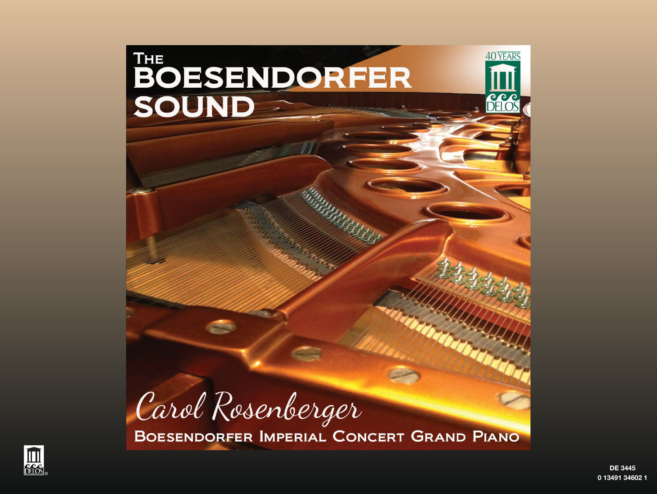



**DF 3445** 0 13491 34602 1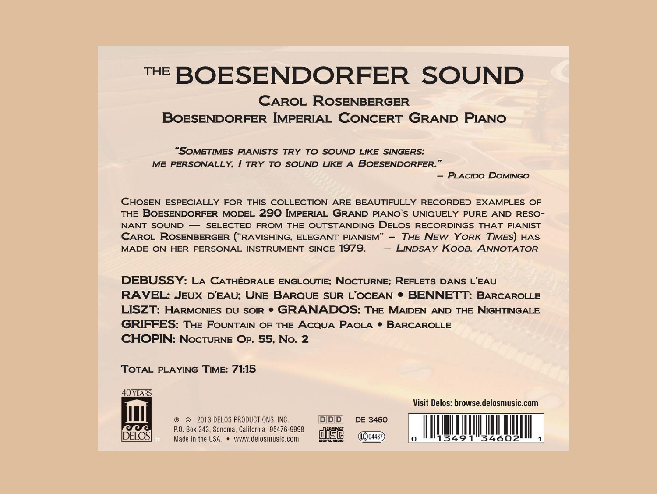# THE BOESENDORFER SOUND

# **CAROL ROSENBERGER**

BOESENDORFER IMPERIAL CONCERT GRAND PIANO

"SOMETIMES PIANISTS TRY TO SOUND LIKE SINGERS: ME PERSONALLY, I TRY TO SOUND LIKE A BOESENDORFER."

- PLACIDO DOMINGO

CHOSEN ESPECIALLY FOR THIS COLLECTION ARE BEAUTIFULLY RECORDED EXAMPLES OF THE BOESENDORFER MODEL 290 IMPERIAL GRAND PIANO'S UNIQUELY PURE AND RESO-NANT SOUND - SELECTED FROM THE OUTSTANDING DELOS RECORDINGS THAT PIANIST CAROL ROSENBERGER ("RAVISHING, ELEGANT PIANISM" - THE NEW YORK TIMES) HAS MADE ON HER PERSONAL INSTRUMENT SINCE 1979. - LINDSAY KOOB. ANNOTATOR

**DEBUSSY: LA CATHÉDRALE ENGLOUTIE: NOCTURNE: REFLETS DANS L'EAU RAVEL: JEUX D'EAU: UNE BARQUE SUR L'OCEAN • BENNETT: BARCAROLLE LISZT: HARMONIES DU SOIR • GRANADOS: THE MAIDEN AND THE NIGHTINGALE GRIFFES: THE FOUNTAIN OF THE ACQUA PAOLA . BARCAROLLE CHOPIN: NOCTURNE OP. 55, No. 2** 

#### **TOTAL PLAYING TIME: 71:15**



**@ @ 2013 DELOS PRODUCTIONS, INC.** P.O. Box 343, Sonoma, California 95476-9998 Made in the USA. • www.delosmusic.com

**DDD DE 3460** úISG  $(10)04487)$ 

**Visit Delos: browse.delosmusic.com** 

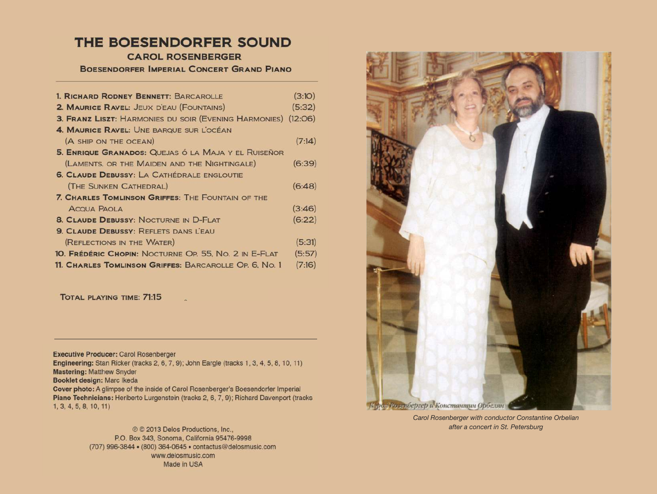### THE BOESENDORFER SOUND

**CAROL ROSENBERGER** 

BOESENDORFER IMPERIAL CONCERT GRAND PIANO

| 1. RICHARD RODNEY BENNETT: BARCAROLLE                                | (3:10) |
|----------------------------------------------------------------------|--------|
| 2. MAURICE RAVEL: JEUX D'EAU (FOUNTAINS)                             | (5:32) |
| <b>3. FRANZ LISZT: HARMONIES DU SOIR (EVENING HARMONIES) (12:06)</b> |        |
| 4. MAURICE RAVEL: UNE BARQUE SUR LOCÉAN                              |        |
| (A SHIP ON THE OCEAN)                                                | (7:14) |
| 5. ENRIQUE GRANADOS: QUEJAS Ó LA MAJA Y EL RUISEÑOR                  |        |
| (LAMENTS, OR THE MAIDEN AND THE NIGHTINGALE)                         | (6:39) |
| <b>6. CLAUDE DEBUSSY: LA CATHÉDRALE ENGLOUTIE</b>                    |        |
| (THE SUNKEN CATHEDRAL)                                               | (6:48) |
| <b>7. CHARLES TOMLINSON GRIFFES: THE FOUNTAIN OF THE</b>             |        |
| <b>ACQUA PAOLA</b>                                                   | (3:46) |
| <b>8. CLAUDE DEBUSSY: NOCTURNE IN D-FLAT</b>                         | (6:22) |
| <b>9. CLAUDE DEBUSSY: REFLETS DANS LEAU</b>                          |        |
| (REFLECTIONS IN THE WATER)                                           | (5:31) |
| 10. FRÉDÉRIC CHOPIN: NOCTURNE OP. 55. No. 2 IN E-FLAT                | (5:57) |
| <b>11. Charles Tomlinson Griffes: BARCAROLLE OP. 6. No. 1</b>        | (7:16) |
|                                                                      |        |

TOTAL PLAYING TIME: 71:15

Executive Producer: Carol Rosenberger

Engineering: Stan Ricker (tracks 2, 6, 7, 9); John Eargle (tracks 1, 3, 4, 5, 8, 10, 11) Mastering: Matthew Snyder Booklet design: Marc Ikeda Cover photo: A glimpse of the inside of Carol Rosenberger's Boesendorfer Imperial Piano Technicians: Heriberto Lurgenstein (tracks 2, 6, 7, 9); Richard Davenport (tracks

 $\mathbb{Z}$ 

 $1, 3, 4, 5, 8, 10, 11$ 

© © 2013 Delos Productions, Inc., P.O. Box 343, Sonoma, California 95476-9998 (707) 996-3844 • (800) 364-0645 • contactus@delosmusic.com www.delosmusic.com Made in USA



Carol Rosenberger with conductor Constantine Orbelian after a concert in St. Petersburg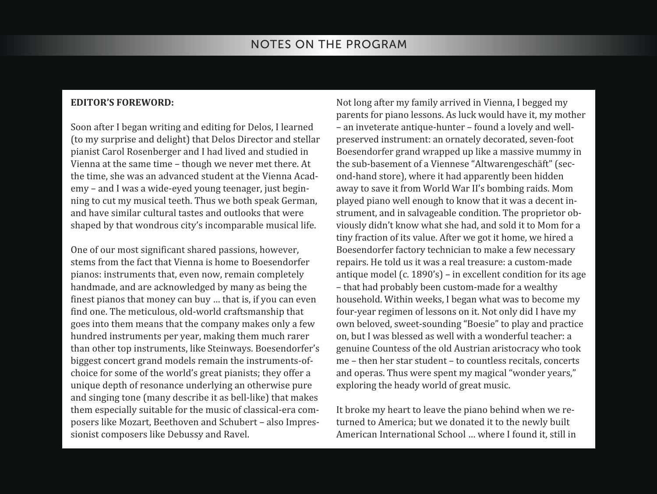#### **EDITOR'S FOREWORD:**

Soon after I began writing and editing for Delos, I learned (to my surprise and delight) that Delos Director and stellar pianist Carol Rosenberger and I had lived and studied in Vienna at the same time – though we never met there. At the time, she was an advanced student at the Vienna Acad‐ emy – and I was a wide‐eyed young teenager, just begin‐ ning to cut my musical teeth. Thus we both speak German, and have similar cultural tastes and outlooks that were shaped by that wondrous city's incomparable musical life.

One of our most significant shared passions, however, stems from the fact that Vienna is home to Boesendorfer pianos: instruments that, even now, remain completely handmade, and are acknowledged by many as being the finest pianos that money can buy … that is, if you can even find one. The meticulous, old‐world craftsmanship that goes into them means that the company makes only a few hundred instruments per year, making them much rarer than other top instruments, like Steinways. Boesendorfer's biggest concert grand models remain the instruments‐of‐ choice for some of the world's great pianists; they offer a unique depth of resonance underlying an otherwise pure and singing tone (many describe it as bell‐like) that makes them especially suitable for the music of classical-era composers like Mozart, Beethoven and Schubert – also Impres‐ sionist composers like Debussy and Ravel.

Not long after my family arrived in Vienna, I begged my parents for piano lessons. As luck would have it, my mother – an inveterate antique‐hunter – found a lovely and well‐ preserved instrument: an ornately decorated, seven‐foot Boesendorfer grand wrapped up like a massive mummy in the sub‐basement of a Viennese "Altwarengeschäft" (sec‐ ond‐hand store), where it had apparently been hidden away to save it from World War II's bombing raids. Mom played piano well enough to know that it was a decent in‐ strument, and in salvageable condition. The proprietor ob‐ viously didn't know what she had, and sold it to Mom for a tiny fraction of its value. After we got it home, we hired a Boesendorfer factory technician to make a few necessary repairs. He told us it was a real treasure: a custom‐made antique model (c. 1890's) – in excellent condition for its age – that had probably been custom‐made for a wealthy household. Within weeks, I began what was to become my four‐year regimen of lessons on it. Not only did I have my own beloved, sweet‐sounding "Boesie" to play and practice on, but I was blessed as well with a wonderful teacher: a genuine Countess of the old Austrian aristocracy who took me – then her star student – to countless recitals, concerts and operas. Thus were spent my magical "wonder years," exploring the heady world of great music.

It broke my heart to leave the piano behind when we re‐ turned to America; but we donated it to the newly built American International School … where I found it, still in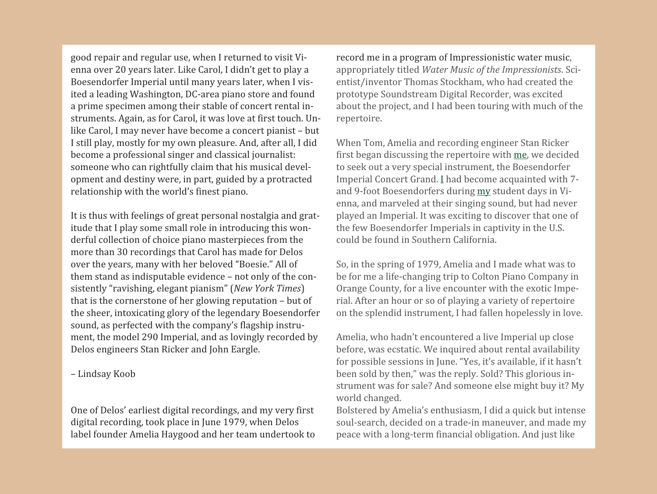good repair and regular use, when I returned to visit Vi‐ enna over 20 years later. Like Carol, I didn't get to play a Boesendorfer Imperial until many years later, when I vis‐ ited a leading Washington, DC‐area piano store and found a prime specimen among their stable of concert rental in‐ struments. Again, as for Carol, it was love at first touch. Un‐ like Carol, I may never have become a concert pianist – but I still play, mostly for my own pleasure. And, after all, I did become a professional singer and classical journalist: someone who can rightfully claim that his musical development and destiny were, in part, guided by a protracted relationship with the world's finest piano.

It is thus with feelings of great personal nostalgia and gratitude that I play some small role in introducing this wonderful collection of choice piano masterpieces from the more than 30 recordings that Carol has made for Delos over the years, many with her beloved "Boesie." All of them stand as indisputable evidence – not only of the consistently "ravishing, elegant pianism" (*New York Times*) that is the cornerstone of her glowing reputation – but of the sheer, intoxicating glory of the legendary Boesendorfer sound, as perfected with the company's flagship instrument, the model 290 Imperial, and as lovingly recorded by Delos engineers Stan Ricker and John Eargle.

– Lindsay Koob

One of Delos' earliest digital recordings, and my very first digital recording, took place in June 1979, when Delos label founder Amelia Haygood and her team undertook to record me in a program of Impressionistic water music, appropriately titled *Water Music of the Impressionists*. Sci‐ entist/inventor Thomas Stockham, who had created the prototype Soundstream Digital Recorder, was excited about the project, and I had been touring with much of the repertoire.

When Tom, Amelia and recording engineer Stan Ricker first began discussing the repertoire with me, we decided to seek out a very special instrument, the Boesendorfer Imperial Concert Grand. I had become acquainted with 7‐ and 9‐foot Boesendorfers during my student days in Vi‐ enna, and marveled at their singing sound, but had never played an Imperial. It was exciting to discover that one of the few Boesendorfer Imperials in captivity in the U.S. could be found in Southern California.

So, in the spring of 1979, Amelia and I made what was to be for me a life-changing trip to Colton Piano Company in Orange County, for a live encounter with the exotic Impe‐ rial. After an hour or so of playing a variety of repertoire on the splendid instrument, I had fallen hopelessly in love.

Amelia, who hadn't encountered a live Imperial up close before, was ecstatic. We inquired about rental availability for possible sessions in June. "Yes, it's available, if it hasn't been sold by then," was the reply. Sold? This glorious in‐ strument was for sale? And someone else might buy it? My world changed.

Bolstered by Amelia's enthusiasm, I did a quick but intense soul-search, decided on a trade-in maneuver, and made my peace with a long‐term financial obligation. And just like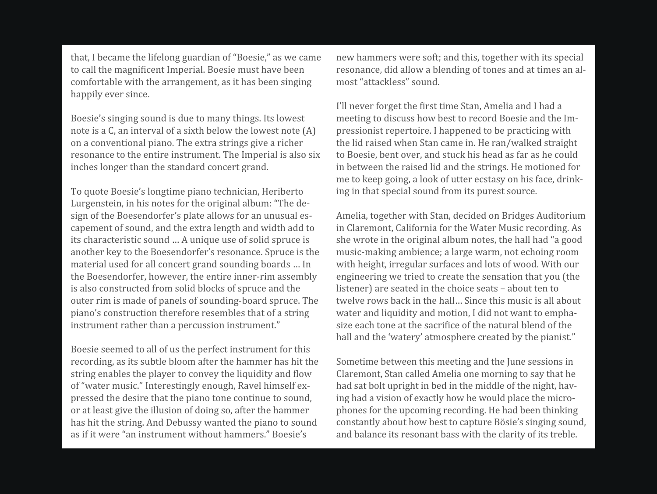that, I became the lifelong guardian of "Boesie," as we came to call the magnificent Imperial. Boesie must have been comfortable with the arrangement, as it has been singing happily ever since.

Boesie's singing sound is due to many things. Its lowest note is a C, an interval of a sixth below the lowest note (A) on a conventional piano. The extra strings give a richer resonance to the entire instrument. The Imperial is also six inches longer than the standard concert grand.

To quote Boesie's longtime piano technician, Heriberto Lurgenstein, in his notes for the original album: "The de‐ sign of the Boesendorfer's plate allows for an unusual es‐ capement of sound, and the extra length and width add to its characteristic sound … A unique use of solid spruce is another key to the Boesendorfer's resonance. Spruce is the material used for all concert grand sounding boards … In the Boesendorfer, however, the entire inner-rim assembly is also constructed from solid blocks of spruce and the outer rim is made of panels of sounding‐board spruce. The piano's construction therefore resembles that of a string instrument rather than a percussion instrument."

Boesie seemed to all of us the perfect instrument for this recording, as its subtle bloom after the hammer has hit the string enables the player to convey the liquidity and flow of "water music." Interestingly enough, Ravel himself ex‐ pressed the desire that the piano tone continue to sound, or at least give the illusion of doing so, after the hammer has hit the string. And Debussy wanted the piano to sound as if it were "an instrument without hammers." Boesie's

new hammers were soft; and this, together with its special resonance, did allow a blending of tones and at times an al‐ most "attackless" sound.

I'll never forget the first time Stan, Amelia and I had a meeting to discuss how best to record Boesie and the Im‐ pressionist repertoire. I happened to be practicing with the lid raised when Stan came in. He ran/walked straight to Boesie, bent over, and stuck his head as far as he could in between the raised lid and the strings. He motioned for me to keep going, a look of utter ecstasy on his face, drink‐ ing in that special sound from its purest source.

Amelia, together with Stan, decided on Bridges Auditorium in Claremont, California for the Water Music recording. As she wrote in the original album notes, the hall had "a good music‐making ambience; a large warm, not echoing room with height, irregular surfaces and lots of wood. With our engineering we tried to create the sensation that you (the listener) are seated in the choice seats – about ten to twelve rows back in the hall… Since this music is all about water and liquidity and motion, I did not want to emphasize each tone at the sacrifice of the natural blend of the hall and the 'watery' atmosphere created by the pianist."

Sometime between this meeting and the June sessions in Claremont, Stan called Amelia one morning to say that he had sat bolt upright in bed in the middle of the night, having had a vision of exactly how he would place the microphones for the upcoming recording. He had been thinking constantly about how best to capture Bösie's singing sound, and balance its resonant bass with the clarity of its treble.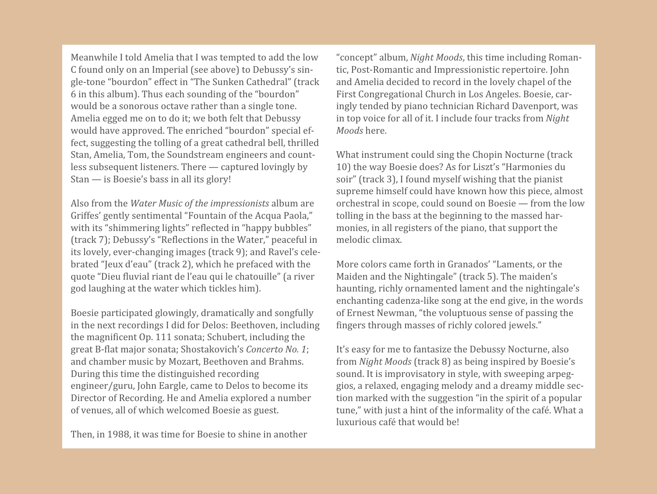Meanwhile I told Amelia that I was tempted to add the low C found only on an Imperial (see above) to Debussy's sin‐ gle‐tone "bourdon" effect in "The Sunken Cathedral" (track 6 in this album). Thus each sounding of the "bourdon" would be a sonorous octave rather than a single tone. Amelia egged me on to do it; we both felt that Debussy would have approved. The enriched "bourdon" special ef‐ fect, suggesting the tolling of a great cathedral bell, thrilled Stan, Amelia, Tom, the Soundstream engineers and count‐ less subsequent listeners. There — captured lovingly by Stan — is Boesie's bass in all its glory!

Also from the *Water Music of the impressionists* album are Griffes' gently sentimental "Fountain of the Acqua Paola," with its "shimmering lights" reflected in "happy bubbles" (track 7); Debussy's "Reflections in the Water," peaceful in its lovely, ever‐changing images (track 9); and Ravel's cele‐ brated "Jeux d'eau" (track 2), which he prefaced with the quote "Dieu fluvial riant de l'eau qui le chatouille" (a river god laughing at the water which tickles him).

Boesie participated glowingly, dramatically and songfully in the next recordings I did for Delos: Beethoven, including the magnificent Op. 111 sonata; Schubert, including the great B‐flat major sonata; Shostakovich's *Concerto No. 1*; and chamber music by Mozart, Beethoven and Brahms. During this time the distinguished recording engineer/guru, John Eargle, came to Delos to become its Director of Recording. He and Amelia explored a number of venues, all of which welcomed Boesie as guest.

Then, in 1988, it was time for Boesie to shine in another

"concept" album, *Night Moods*, this time including Roman‐ tic, Post‐Romantic and Impressionistic repertoire. John and Amelia decided to record in the lovely chapel of the First Congregational Church in Los Angeles. Boesie, car‐ ingly tended by piano technician Richard Davenport, was in top voice for all of it. I include four tracks from *Night Moods* here.

What instrument could sing the Chopin Nocturne (track 10) the way Boesie does? As for Liszt's "Harmonies du soir" (track 3), I found myself wishing that the pianist supreme himself could have known how this piece, almost orchestral in scope, could sound on Boesie — from the low tolling in the bass at the beginning to the massed harmonies, in all registers of the piano, that support the melodic climax.

More colors came forth in Granados' "Laments, or the Maiden and the Nightingale" (track 5). The maiden's haunting, richly ornamented lament and the nightingale's enchanting cadenza‐like song at the end give, in the words of Ernest Newman, "the voluptuous sense of passing the fingers through masses of richly colored jewels."

It's easy for me to fantasize the Debussy Nocturne, also from *Night Moods* (track 8) as being inspired by Boesie's sound. It is improvisatory in style, with sweeping arpeg‐ gios, a relaxed, engaging melody and a dreamy middle sec‐ tion marked with the suggestion "in the spirit of a popular tune," with just a hint of the informality of the café. What a luxurious café that would be!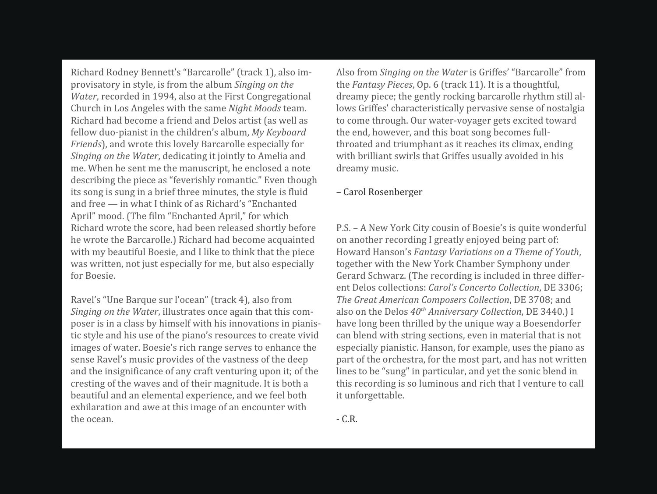Richard Rodney Bennett's "Barcarolle" (track 1), also im‐ provisatory in style, is from the album *Singing on the Water*, recorded in 1994, also at the First Congregational Church in Los Angeles with the same *Night Moods* team. Richard had become a friend and Delos artist (as well as fellow duo‐pianist in the children's album, *My Keyboard Friends*), and wrote this lovely Barcarolle especially for *Singing on the Water*, dedicating it jointly to Amelia and me. When he sent me the manuscript, he enclosed a note describing the piece as "feverishly romantic." Even though its song is sung in a brief three minutes, the style is fluid and free — in what I think of as Richard's "Enchanted April" mood. (The film "Enchanted April," for which Richard wrote the score, had been released shortly before he wrote the Barcarolle.) Richard had become acquainted with my beautiful Boesie, and I like to think that the piece was written, not just especially for me, but also especially for Boesie.

Ravel's "Une Barque sur l'ocean" (track 4), also from *Singing on the Water*, illustrates once again that this com‐ poser is in a class by himself with his innovations in pianis‐ tic style and his use of the piano's resources to create vivid images of water. Boesie's rich range serves to enhance the sense Ravel's music provides of the vastness of the deep and the insignificance of any craft venturing upon it; of the cresting of the waves and of their magnitude. It is both a beautiful and an elemental experience, and we feel both exhilaration and awe at this image of an encounter with the ocean.

Also from *Singing on the Water* is Griffes' "Barcarolle" from the *Fantasy Pieces*, Op. 6 (track 11). It is a thoughtful, dreamy piece; the gently rocking barcarolle rhythm still al‐ lows Griffes' characteristically pervasive sense of nostalgia to come through. Our water‐voyager gets excited toward the end, however, and this boat song becomes full‐ throated and triumphant as it reaches its climax, ending with brilliant swirls that Griffes usually avoided in his dreamy music.

#### – Carol Rosenberger

P.S. – A New York City cousin of Boesie's is quite wonderful on another recording I greatly enjoyed being part of: Howard Hanson's *Fantasy Variations on a Theme of Youth*, together with the New York Chamber Symphony under Gerard Schwarz. (The recording is included in three differ‐ ent Delos collections: *Carol's Concerto Collection*, DE 3306; *The Great American Composers Collection*, DE 3708; and also on the Delos *40th Anniversary Collection*, DE 3440.) I have long been thrilled by the unique way a Boesendorfer can blend with string sections, even in material that is not especially pianistic. Hanson, for example, uses the piano as part of the orchestra, for the most part, and has not written lines to be "sung" in particular, and yet the sonic blend in this recording is so luminous and rich that I venture to call it unforgettable.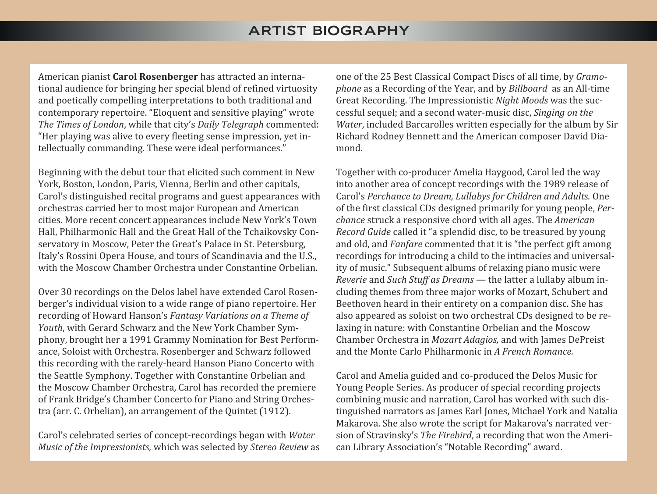## ARTIST BIOGRAPHY

American pianist **Carol Rosenberger** has attracted an interna‐ tional audience for bringing her special blend of refined virtuosity and poetically compelling interpretations to both traditional and contemporary repertoire. "Eloquent and sensitive playing" wrote *The Times of London*, while that city's *Daily Telegraph* commented: "Her playing was alive to every fleeting sense impression, yet in‐ tellectually commanding. These were ideal performances."

Beginning with the debut tour that elicited such comment in New York, Boston, London, Paris, Vienna, Berlin and other capitals, Carol's distinguished recital programs and guest appearances with orchestras carried her to most major European and American cities. More recent concert appearances include New York's Town Hall, Philharmonic Hall and the Great Hall of the Tchaikovsky Con‐ servatory in Moscow, Peter the Great's Palace in St. Petersburg, Italy's Rossini Opera House, and tours of Scandinavia and the U.S., with the Moscow Chamber Orchestra under Constantine Orbelian.

Over 30 recordings on the Delos label have extended Carol Rosen‐ berger's individual vision to a wide range of piano repertoire. Her recording of Howard Hanson's *Fantasy Variations on a Theme of Youth*, with Gerard Schwarz and the New York Chamber Sym‐ phony, brought her a 1991 Grammy Nomination for Best Perform‐ ance, Soloist with Orchestra. Rosenberger and Schwarz followed this recording with the rarely‐heard Hanson Piano Concerto with the Seattle Symphony. Together with Constantine Orbelian and the Moscow Chamber Orchestra, Carol has recorded the premiere of Frank Bridge's Chamber Concerto for Piano and String Orches‐ tra (arr. C. Orbelian), an arrangement of the Quintet (1912).

Carol's celebrated series of concept‐recordings began with *Water Music of the Impressionists,* which was selected by *Stereo Review* as one of the 25 Best Classical Compact Discs of all time, by *Gramophone* as a Recording of the Year, and by *Billboard* as an All‐time Great Recording. The Impressionistic *Night Moods* was the suc‐ cessful sequel; and a second water‐music disc, *Singing on the Water*, included Barcarolles written especially for the album by Sir Richard Rodney Bennett and the American composer David Dia‐ mond.

Together with co‐producer Amelia Haygood, Carol led the way into another area of concept recordings with the 1989 release of Carol's *Perchance to Dream, Lullabys for Children and Adults.* One of the first classical CDs designed primarily for young people, *Perchance* struck a responsive chord with all ages. The *American Record Guide* called it "a splendid disc, to be treasured by young and old, and *Fanfare* commented that it is "the perfect gift among recordings for introducing a child to the intimacies and universal‐ ity of music." Subsequent albums of relaxing piano music were *Reverie* and *Such Stuff as Dreams —* the latter a lullaby album in‐ cluding themes from three major works of Mozart, Schubert and Beethoven heard in their entirety on a companion disc. She has also appeared as soloist on two orchestral CDs designed to be re‐ laxing in nature: with Constantine Orbelian and the Moscow Chamber Orchestra in *Mozart Adagios,* and with James DePreist and the Monte Carlo Philharmonic in *A French Romance.*

Carol and Amelia guided and co‐produced the Delos Music for Young People Series. As producer of special recording projects combining music and narration, Carol has worked with such dis‐ tinguished narrators as James Earl Jones, Michael York and Natalia Makarova. She also wrote the script for Makarova's narrated ver‐ sion of Stravinsky's *The Firebird*, a recording that won the Ameri‐ can Library Association's "Notable Recording" award.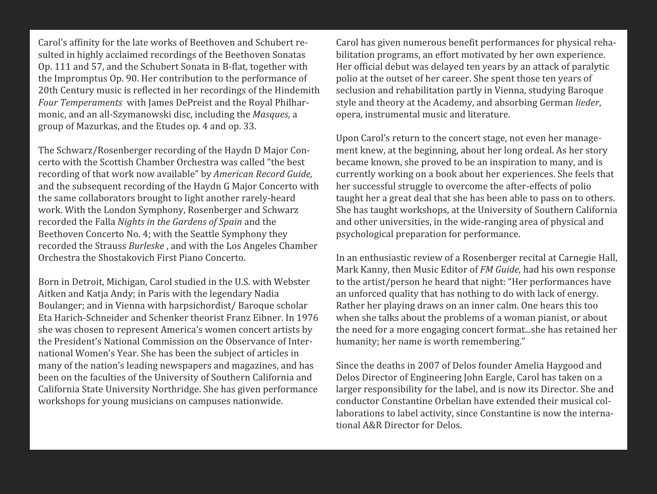Carol's affinity for the late works of Beethoven and Schubert re‐ sulted in highly acclaimed recordings of the Beethoven Sonatas Op. 111 and 57, and the Schubert Sonata in B‐flat, together with the Impromptus Op. 90. Her contribution to the performance of 20th Century music is reflected in her recordings of the Hindemith *Four Temperaments* with James DePreist and the Royal Philhar‐ monic, and an all‐Szymanowski disc, including the *Masques,* a group of Mazurkas, and the Etudes op. 4 and op. 33.

The Schwarz/Rosenberger recording of the Haydn D Major Con‐ certo with the Scottish Chamber Orchestra was called "the best recording of that work now available" by *American Record Guide,* and the subsequent recording of the Haydn G Major Concerto with the same collaborators brought to light another rarely‐heard work. With the London Symphony, Rosenberger and Schwarz recorded the Falla *Nights in the Gardens of Spain* and the Beethoven Concerto No. 4; with the Seattle Symphony they recorded the Strauss *Burleske* , and with the Los Angeles Chamber Orchestra the Shostakovich First Piano Concerto.

Born in Detroit, Michigan, Carol studied in the U.S. with Webster Aitken and Katja Andy; in Paris with the legendary Nadia Boulanger; and in Vienna with harpsichordist/ Baroque scholar Eta Harich‐Schneider and Schenker theorist Franz Eibner. In 1976 she was chosen to represent America's women concert artists by the President's National Commission on the Observance of Inter‐ national Women's Year. She has been the subject of articles in many of the nation's leading newspapers and magazines, and has been on the faculties of the University of Southern California and California State University Northridge. She has given performance workshops for young musicians on campuses nationwide.

Carol has given numerous benefit performances for physical reha‐ bilitation programs, an effort motivated by her own experience. Her official debut was delayed ten years by an attack of paralytic polio at the outset of her career. She spent those ten years of seclusion and rehabilitation partly in Vienna, studying Baroque style and theory at the Academy, and absorbing German *lieder*, opera, instrumental music and literature.

Upon Carol's return to the concert stage, not even her manage‐ ment knew, at the beginning, about her long ordeal. As her story became known, she proved to be an inspiration to many, and is currently working on a book about her experiences. She feels that her successful struggle to overcome the after-effects of polio taught her a great deal that she has been able to pass on to others. She has taught workshops, at the University of Southern California and other universities, in the wide‐ranging area of physical and psychological preparation for performance.

In an enthusiastic review of a Rosenberger recital at Carnegie Hall, Mark Kanny, then Music Editor of *FM Guide,* had his own response to the artist/person he heard that night: "Her performances have an unforced quality that has nothing to do with lack of energy. Rather her playing draws on an inner calm. One hears this too when she talks about the problems of a woman pianist, or about the need for a more engaging concert format...she has retained her humanity; her name is worth remembering."

Since the deaths in 2007 of Delos founder Amelia Haygood and Delos Director of Engineering John Eargle, Carol has taken on a larger responsibility for the label, and is now its Director. She and conductor Constantine Orbelian have extended their musical col‐ laborations to label activity, since Constantine is now the interna‐ tional A&R Director for Delos.